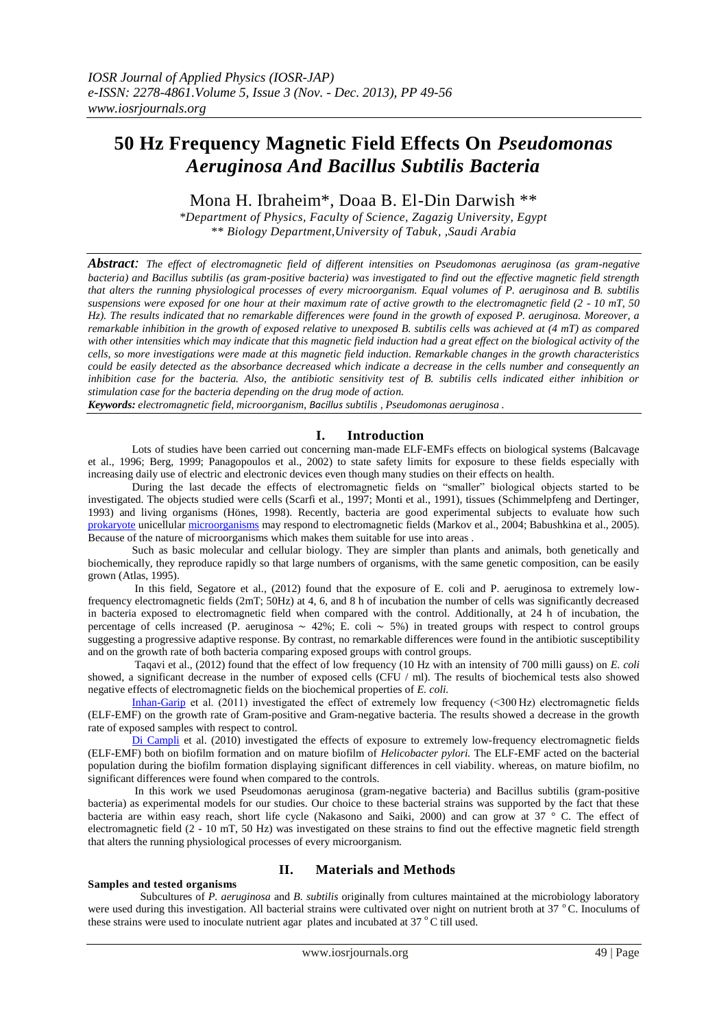# **50 Hz Frequency Magnetic Field Effects On** *Pseudomonas Aeruginosa And Bacillus Subtilis Bacteria*

# Mona H. Ibraheim\*, Doaa B. El-Din Darwish \*\*

*\*Department of Physics, Faculty of Science, Zagazig University, Egypt \*\* Biology Department,University of Tabuk, ,Saudi Arabia* 

*Abstract: The effect of electromagnetic field of different intensities on Pseudomonas aeruginosa (as gram-negative bacteria) and Bacillus subtilis (as gram-positive bacteria) was investigated to find out the effective magnetic field strength that alters the running physiological processes of every microorganism. Equal volumes of P. aeruginosa and B. subtilis suspensions were exposed for one hour at their maximum rate of active growth to the electromagnetic field (2 - 10 mT, 50 Hz). The results indicated that no remarkable differences were found in the growth of exposed P. aeruginosa. Moreover, a remarkable inhibition in the growth of exposed relative to unexposed B. subtilis cells was achieved at (4 mT) as compared with other intensities which may indicate that this magnetic field induction had a great effect on the biological activity of the cells, so more investigations were made at this magnetic field induction. Remarkable changes in the growth characteristics could be easily detected as the absorbance decreased which indicate a decrease in the cells number and consequently an inhibition case for the bacteria. Also, the antibiotic sensitivity test of B. subtilis cells indicated either inhibition or stimulation case for the bacteria depending on the drug mode of action.* 

*Keywords: electromagnetic field, microorganism, Bacillus subtilis , Pseudomonas aeruginosa .*

# **I. Introduction**

Lots of studies have been carried out concerning man-made ELF-EMFs effects on biological systems (Balcavage) et al., 1996; Berg, 1999; Panagopoulos et al., 2002) to state safety limits for exposure to these fields especially with increasing daily use of electric and electronic devices even though many studies on their effects on health.

 During the last decade the effects of electromagnetic fields on "smaller" biological objects started to be investigated. The objects studied were cells (Scarfi et al., 1997; Monti et al., 1991), tissues (Schimmelpfeng and Dertinger, 1993) and living organisms (Hönes, 1998). Recently, bacteria are good experimental subjects to evaluate how such [prokaryote](http://en.wikipedia.org/wiki/Prokaryote) unicellular [microorganisms](http://en.wikipedia.org/wiki/Microorganism) may respond to electromagnetic fields (Markov et al., 2004; Babushkina et al., 2005). Because of the nature of microorganisms which makes them suitable for use into areas .

Such as basic molecular and cellular biology. They are simpler than plants and animals, both genetically and biochemically, they reproduce rapidly so that large numbers of organisms, with the same genetic composition, can be easily grown (Atlas, 1995).

 In this field, Segatore et al., (2012) found that the exposure of E. coli and P. aeruginosa to extremely lowfrequency electromagnetic fields (2mT; 50Hz) at 4, 6, and 8 h of incubation the number of cells was significantly decreased in bacteria exposed to electromagnetic field when compared with the control. Additionally, at 24 h of incubation, the percentage of cells increased (P. aeruginosa ∼ 42%; E. coli ∼ 5%) in treated groups with respect to control groups suggesting a progressive adaptive response. By contrast, no remarkable differences were found in the antibiotic susceptibility and on the growth rate of both bacteria comparing exposed groups with control groups.

 Taqavi et al., (2012) found that the effect of low frequency (10 Hz with an intensity of 700 milli gauss) on *E. coli* showed, a significant decrease in the number of exposed cells  $(CFU / ml)$ . The results of biochemical tests also showed negative effects of electromagnetic fields on the biochemical properties of *E. coli.*

 [Inhan-Garip](http://www.ncbi.nlm.nih.gov/pubmed?term=%22Inhan-Garip%20A%22%5BAuthor%5D) et al. (2011) investigated the effect of extremely low frequency (<300 Hz) electromagnetic fields (ELF-EMF) on the growth rate of Gram-positive and Gram-negative bacteria. The results showed a decrease in the growth rate of exposed samples with respect to control.

 [Di Campli](http://www.ncbi.nlm.nih.gov/pubmed?term=%22Di%20Campli%20E%22%5BAuthor%5D) et al. (2010) investigated the effects of exposure to extremely low-frequency electromagnetic fields (ELF-EMF) both on biofilm formation and on mature biofilm of *Helicobacter pylori.* The ELF-EMF acted on the bacterial population during the biofilm formation displaying significant differences in cell viability. whereas, on mature biofilm, no significant differences were found when compared to the controls.

 In this work we used Pseudomonas aeruginosa (gram-negative bacteria) and Bacillus subtilis (gram-positive bacteria) as experimental models for our studies. Our choice to these bacterial strains was supported by the fact that these bacteria are within easy reach, short life cycle (Nakasono and Saiki, 2000) and can grow at 37 ° C. The effect of electromagnetic field (2 - 10 mT, 50 Hz) was investigated on these strains to find out the effective magnetic field strength that alters the running physiological processes of every microorganism.

#### **Samples and tested organisms**

## **II. Materials and Methods**

Subcultures of *P. aeruginosa* and *B. subtilis* originally from cultures maintained at the microbiology laboratory were used during this investigation. All bacterial strains were cultivated over night on nutrient broth at  $37^{\circ}$ C. Inoculums of these strains were used to inoculate nutrient agar plates and incubated at  $37^{\circ}$ C till used.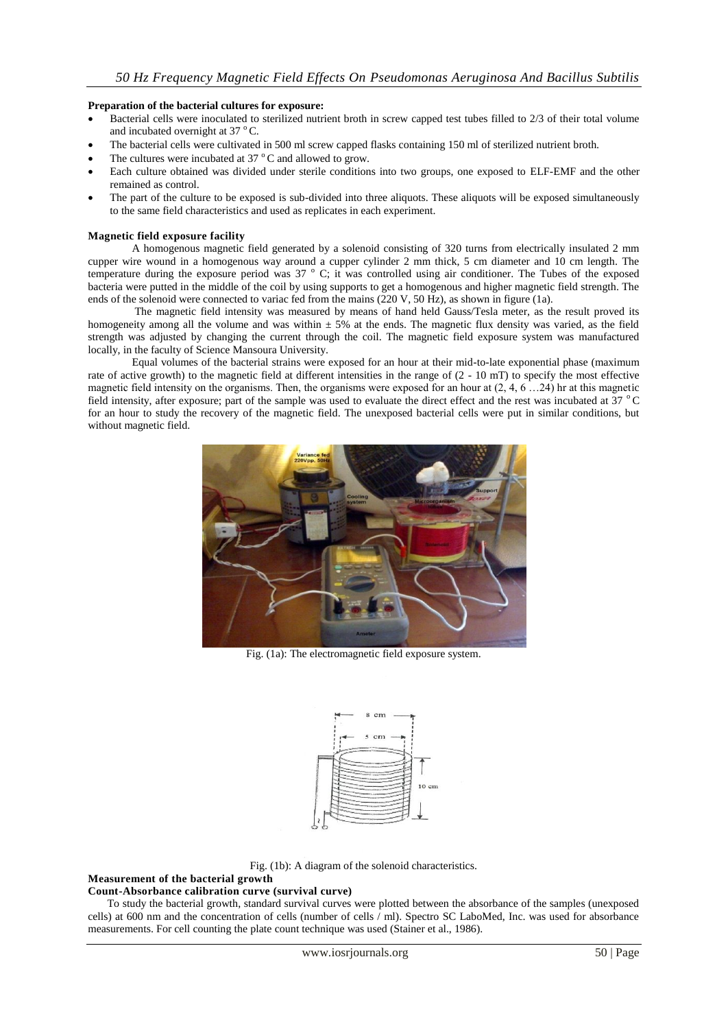## **Preparation of the bacterial cultures for exposure:**

- Bacterial cells were inoculated to sterilized nutrient broth in screw capped test tubes filled to 2/3 of their total volume and incubated overnight at  $37^{\circ}$ C.
- The bacterial cells were cultivated in 500 ml screw capped flasks containing 150 ml of sterilized nutrient broth.
- The cultures were incubated at  $37^{\circ}$ C and allowed to grow.
- Each culture obtained was divided under sterile conditions into two groups, one exposed to ELF-EMF and the other remained as control.
- The part of the culture to be exposed is sub-divided into three aliquots. These aliquots will be exposed simultaneously to the same field characteristics and used as replicates in each experiment.

#### **Magnetic field exposure facility**

 A homogenous magnetic field generated by a solenoid consisting of 320 turns from electrically insulated 2 mm cupper wire wound in a homogenous way around a cupper cylinder 2 mm thick, 5 cm diameter and 10 cm length. The temperature during the exposure period was  $37^\circ$  C; it was controlled using air conditioner. The Tubes of the exposed bacteria were putted in the middle of the coil by using supports to get a homogenous and higher magnetic field strength. The ends of the solenoid were connected to variac fed from the mains (220 V, 50 Hz), as shown in figure (1a).

 The magnetic field intensity was measured by means of hand held Gauss/Tesla meter, as the result proved its homogeneity among all the volume and was within  $\pm$  5% at the ends. The magnetic flux density was varied, as the field strength was adjusted by changing the current through the coil. The magnetic field exposure system was manufactured locally, in the faculty of Science Mansoura University.

 Equal volumes of the bacterial strains were exposed for an hour at their mid-to-late exponential phase (maximum rate of active growth) to the magnetic field at different intensities in the range of (2 - 10 mT) to specify the most effective magnetic field intensity on the organisms. Then, the organisms were exposed for an hour at  $(2, 4, 6, \ldots, 24)$  hr at this magnetic field intensity, after exposure; part of the sample was used to evaluate the direct effect and the rest was incubated at  $37 \text{ °C}$ for an hour to study the recovery of the magnetic field. The unexposed bacterial cells were put in similar conditions, but without magnetic field.



Fig. (1a): The electromagnetic field exposure system.



Fig. (1b): A diagram of the solenoid characteristics.

#### **Measurement of the bacterial growth**

## **Count-Absorbance calibration curve (survival curve)**

 To study the bacterial growth, standard survival curves were plotted between the absorbance of the samples (unexposed cells) at 600 nm and the concentration of cells (number of cells / ml). Spectro SC LaboMed, Inc. was used for absorbance measurements. For cell counting the plate count technique was used (Stainer et al., 1986).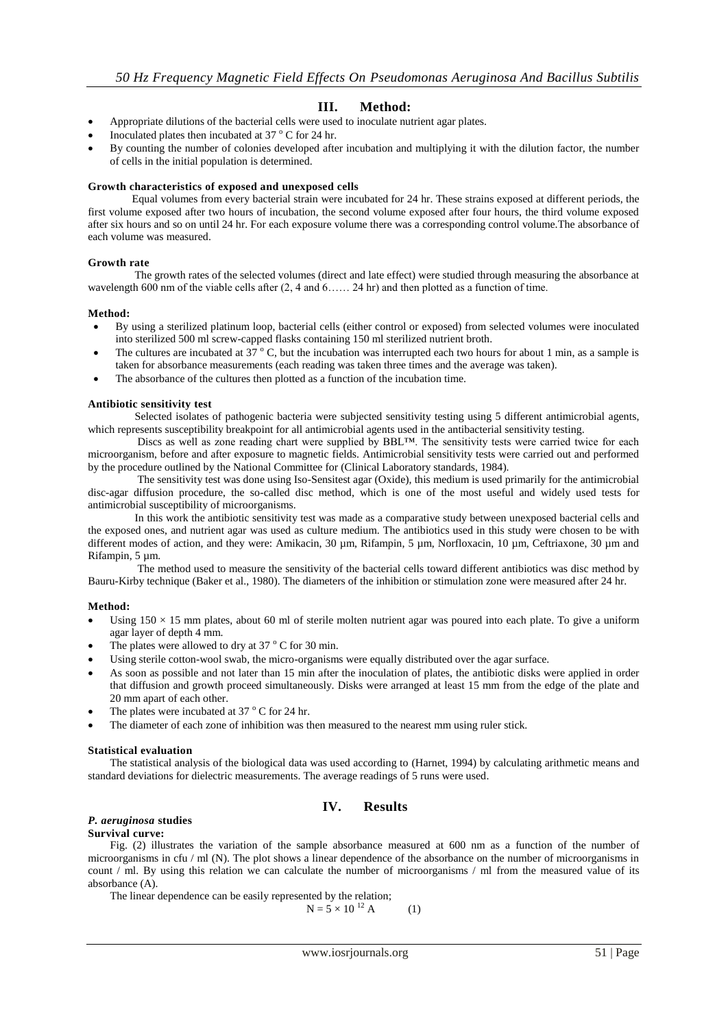# **III. Method:**

- Appropriate dilutions of the bacterial cells were used to inoculate nutrient agar plates.
- Inoculated plates then incubated at  $37<sup>o</sup>$  C for 24 hr.
- By counting the number of colonies developed after incubation and multiplying it with the dilution factor, the number of cells in the initial population is determined.

## **Growth characteristics of exposed and unexposed cells**

 Equal volumes from every bacterial strain were incubated for 24 hr. These strains exposed at different periods, the first volume exposed after two hours of incubation, the second volume exposed after four hours, the third volume exposed after six hours and so on until 24 hr. For each exposure volume there was a corresponding control volume.The absorbance of each volume was measured.

## **Growth rate**

 The growth rates of the selected volumes (direct and late effect) were studied through measuring the absorbance at wavelength 600 nm of the viable cells after  $(2, 4 \text{ and } 6, \ldots, 24 \text{ hr})$  and then plotted as a function of time.

## **Method:**

- By using a sterilized platinum loop, bacterial cells (either control or exposed) from selected volumes were inoculated into sterilized 500 ml screw-capped flasks containing 150 ml sterilized nutrient broth.
- The cultures are incubated at 37  $\degree$  C, but the incubation was interrupted each two hours for about 1 min, as a sample is taken for absorbance measurements (each reading was taken three times and the average was taken).
- The absorbance of the cultures then plotted as a function of the incubation time.

## **Antibiotic sensitivity test**

 Selected isolates of pathogenic bacteria were subjected sensitivity testing using 5 different antimicrobial agents, which represents susceptibility breakpoint for all antimicrobial agents used in the antibacterial sensitivity testing.

Discs as well as zone reading chart were supplied by BBL™. The sensitivity tests were carried twice for each microorganism, before and after exposure to magnetic fields. Antimicrobial sensitivity tests were carried out and performed by the procedure outlined by the National Committee for (Clinical Laboratory standards, 1984).

 The sensitivity test was done using Iso-Sensitest agar (Oxide), this medium is used primarily for the antimicrobial disc-agar diffusion procedure, the so-called disc method, which is one of the most useful and widely used tests for antimicrobial susceptibility of microorganisms.

 In this work the antibiotic sensitivity test was made as a comparative study between unexposed bacterial cells and the exposed ones, and nutrient agar was used as culture medium. The antibiotics used in this study were chosen to be with different modes of action, and they were: Amikacin, 30  $\mu$ m, Rifampin, 5  $\mu$ m, Norfloxacin, 10  $\mu$ m, Ceftriaxone, 30  $\mu$ m and Rifampin, 5 µm.

 The method used to measure the sensitivity of the bacterial cells toward different antibiotics was disc method by Bauru-Kirby technique (Baker et al., 1980). The diameters of the inhibition or stimulation zone were measured after 24 hr.

#### **Method:**

- Using  $150 \times 15$  mm plates, about 60 ml of sterile molten nutrient agar was poured into each plate. To give a uniform agar layer of depth 4 mm.
- The plates were allowed to dry at  $37 \degree$  C for 30 min.
- Using sterile cotton-wool swab, the micro-organisms were equally distributed over the agar surface.
- As soon as possible and not later than 15 min after the inoculation of plates, the antibiotic disks were applied in order that diffusion and growth proceed simultaneously. Disks were arranged at least 15 mm from the edge of the plate and 20 mm apart of each other.
- The plates were incubated at 37  $\mathrm{^{\circ} C}$  for 24 hr.
- The diameter of each zone of inhibition was then measured to the nearest mm using ruler stick.

#### **Statistical evaluation**

 The statistical analysis of the biological data was used according to (Harnet, 1994) by calculating arithmetic means and standard deviations for dielectric measurements. The average readings of 5 runs were used.

# **IV. Results**

## *P. aeruginosa* **studies**

**Survival curve:** Fig. (2) illustrates the variation of the sample absorbance measured at 600 nm as a function of the number of microorganisms in cfu / ml (N). The plot shows a linear dependence of the absorbance on the number of microorganisms in count / ml. By using this relation we can calculate the number of microorganisms / ml from the measured value of its absorbance (A).

The linear dependence can be easily represented by the relation;

 $N = 5 \times 10^{-12}$  A (1)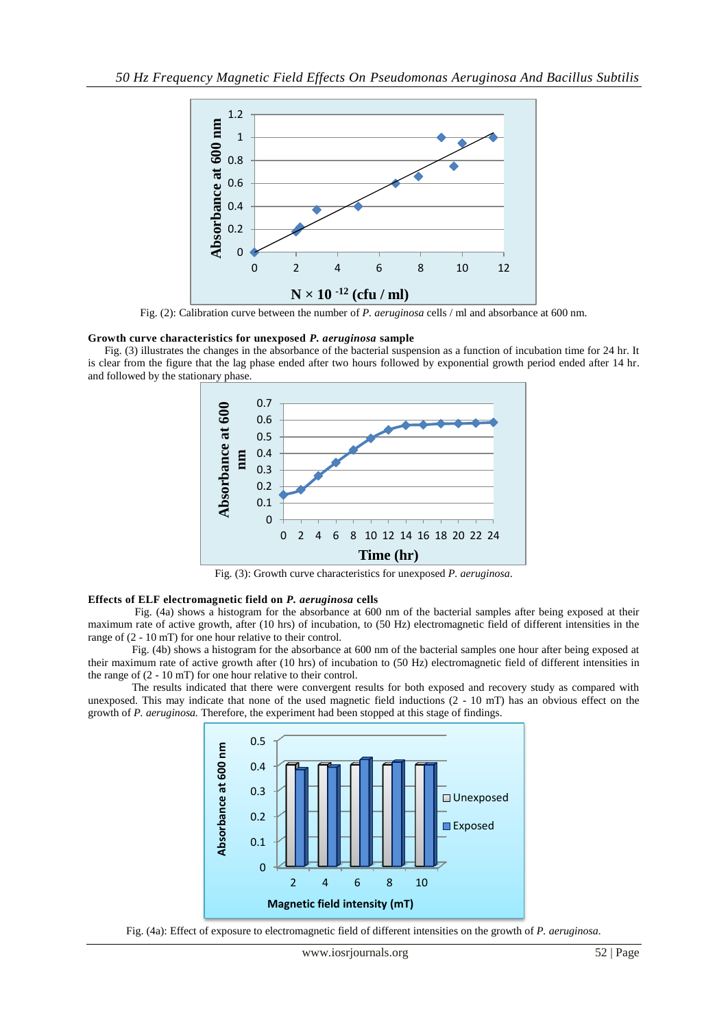

Fig. (2): Calibration curve between the number of *P. aeruginosa* cells / ml and absorbance at 600 nm.

#### **Growth curve characteristics for unexposed** *P. aeruginosa* **sample**

 Fig. (3) illustrates the changes in the absorbance of the bacterial suspension as a function of incubation time for 24 hr. It is clear from the figure that the lag phase ended after two hours followed by exponential growth period ended after 14 hr. and followed by the stationary phase.



Fig. (3): Growth curve characteristics for unexposed *P. aeruginosa*.

## **Effects of ELF electromagnetic field on** *P. aeruginosa* **cells**

 Fig. (4a) shows a histogram for the absorbance at 600 nm of the bacterial samples after being exposed at their maximum rate of active growth, after (10 hrs) of incubation, to (50 Hz) electromagnetic field of different intensities in the range of (2 - 10 mT) for one hour relative to their control.

 Fig. (4b) shows a histogram for the absorbance at 600 nm of the bacterial samples one hour after being exposed at their maximum rate of active growth after (10 hrs) of incubation to (50 Hz) electromagnetic field of different intensities in the range of (2 - 10 mT) for one hour relative to their control.

 The results indicated that there were convergent results for both exposed and recovery study as compared with unexposed. This may indicate that none of the used magnetic field inductions (2 - 10 mT) has an obvious effect on the growth of *P. aeruginosa.* Therefore, the experiment had been stopped at this stage of findings.



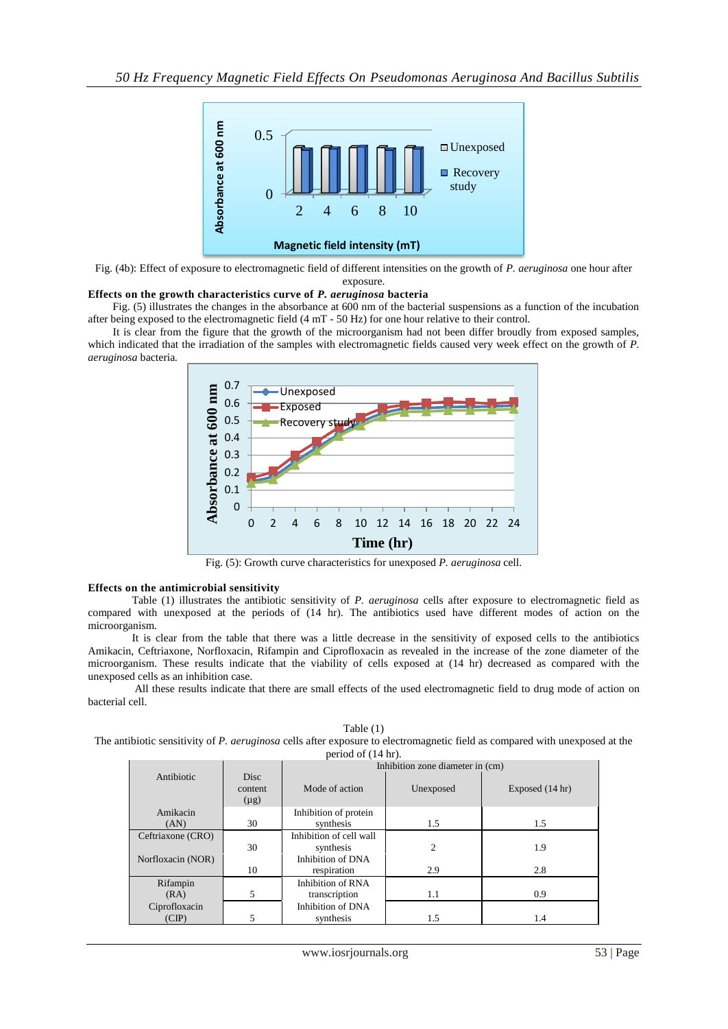

Fig. (4b): Effect of exposure to electromagnetic field of different intensities on the growth of *P. aeruginosa* one hour after exposure.

#### **Effects on the growth characteristics curve of** *P. aeruginosa* **bacteria**

 Fig. (5) illustrates the changes in the absorbance at 600 nm of the bacterial suspensions as a function of the incubation after being exposed to the electromagnetic field (4 mT - 50 Hz) for one hour relative to their control.

 It is clear from the figure that the growth of the microorganism had not been differ broudly from exposed samples, which indicated that the irradiation of the samples with electromagnetic fields caused very week effect on the growth of *P. aeruginosa* bacteria*.*



Fig. (5): Growth curve characteristics for unexposed *P. aeruginosa* cell.

## **Effects on the antimicrobial sensitivity**

 Table (1) illustrates the antibiotic sensitivity of *P. aeruginosa* cells after exposure to electromagnetic field as compared with unexposed at the periods of (14 hr). The antibiotics used have different modes of action on the microorganism.

 It is clear from the table that there was a little decrease in the sensitivity of exposed cells to the antibiotics Amikacin, Ceftriaxone, Norfloxacin, Rifampin and Ciprofloxacin as revealed in the increase of the zone diameter of the microorganism. These results indicate that the viability of cells exposed at (14 hr) decreased as compared with the unexposed cells as an inhibition case.

 All these results indicate that there are small effects of the used electromagnetic field to drug mode of action on bacterial cell.

| anie |  |
|------|--|
|------|--|

The antibiotic sensitivity of *P. aeruginosa* cells after exposure to electromagnetic field as compared with unexposed at the period of (14 hr).

|                        |                                     | Inhibition zone diameter in (cm)     |                |                 |
|------------------------|-------------------------------------|--------------------------------------|----------------|-----------------|
| Antibiotic             | <b>Disc</b><br>content<br>$(\mu g)$ | Mode of action                       | Unexposed      | Exposed (14 hr) |
| Amikacin               |                                     | Inhibition of protein                |                |                 |
| (AN)                   | 30                                  | synthesis                            | 1.5            | 1.5             |
| Ceftriaxone (CRO)      | 30                                  | Inhibition of cell wall<br>synthesis | $\overline{c}$ | 1.9             |
| Norfloxacin (NOR)      | 10                                  | Inhibition of DNA<br>respiration     | 2.9            | 2.8             |
| Rifampin<br>(RA)       |                                     | Inhibition of RNA<br>transcription   | 1.1            | 0.9             |
| Ciprofloxacin<br>(CIP) |                                     | Inhibition of DNA<br>synthesis       | 1.5            | 1.4             |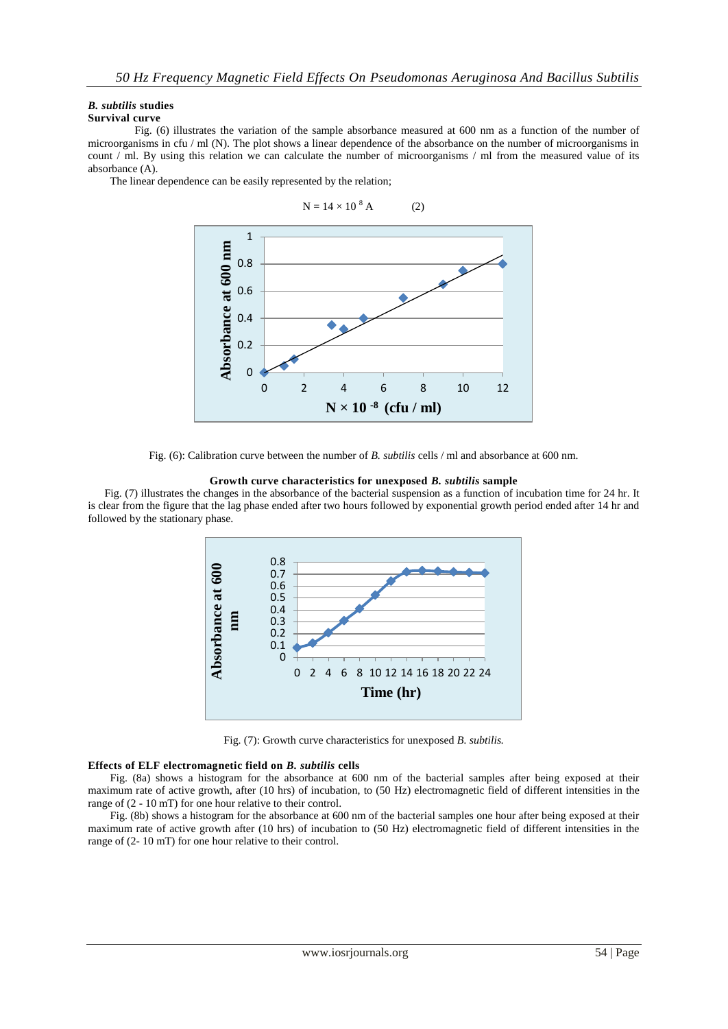## *B. subtilis* **studies**

## **Survival curve**

 Fig. (6) illustrates the variation of the sample absorbance measured at 600 nm as a function of the number of microorganisms in cfu / ml (N). The plot shows a linear dependence of the absorbance on the number of microorganisms in count / ml. By using this relation we can calculate the number of microorganisms / ml from the measured value of its absorbance (A).

The linear dependence can be easily represented by the relation;



Fig. (6): Calibration curve between the number of *B. subtilis* cells / ml and absorbance at 600 nm.

#### **Growth curve characteristics for unexposed** *B. subtilis* **sample**

 Fig. (7) illustrates the changes in the absorbance of the bacterial suspension as a function of incubation time for 24 hr. It is clear from the figure that the lag phase ended after two hours followed by exponential growth period ended after 14 hr and followed by the stationary phase.



Fig. (7): Growth curve characteristics for unexposed *B. subtilis.*

#### **Effects of ELF electromagnetic field on** *B. subtilis* **cells**

 Fig. (8a) shows a histogram for the absorbance at 600 nm of the bacterial samples after being exposed at their maximum rate of active growth, after (10 hrs) of incubation, to (50 Hz) electromagnetic field of different intensities in the range of (2 - 10 mT) for one hour relative to their control.

 Fig. (8b) shows a histogram for the absorbance at 600 nm of the bacterial samples one hour after being exposed at their maximum rate of active growth after (10 hrs) of incubation to (50 Hz) electromagnetic field of different intensities in the range of (2- 10 mT) for one hour relative to their control.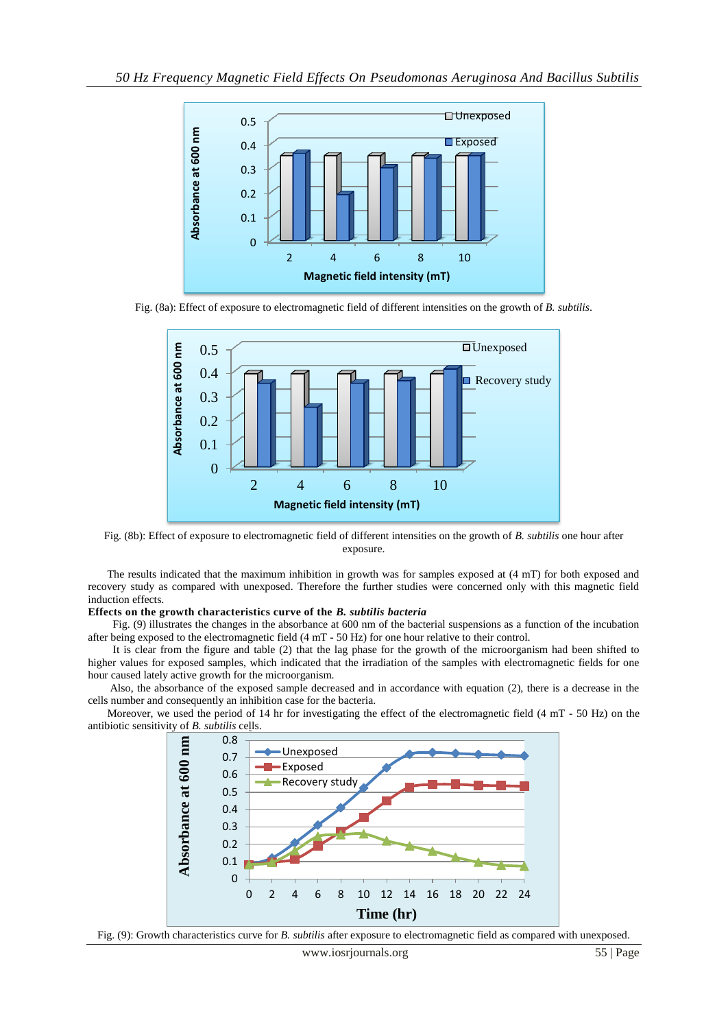

Fig. (8a): Effect of exposure to electromagnetic field of different intensities on the growth of *B. subtilis*.



Fig. (8b): Effect of exposure to electromagnetic field of different intensities on the growth of *B. subtilis* one hour after exposure.

 The results indicated that the maximum inhibition in growth was for samples exposed at (4 mT) for both exposed and recovery study as compared with unexposed. Therefore the further studies were concerned only with this magnetic field induction effects.

#### **Effects on the growth characteristics curve of the** *B. subtilis bacteria*

 Fig. (9) illustrates the changes in the absorbance at 600 nm of the bacterial suspensions as a function of the incubation after being exposed to the electromagnetic field (4 mT - 50 Hz) for one hour relative to their control.

 It is clear from the figure and table (2) that the lag phase for the growth of the microorganism had been shifted to higher values for exposed samples, which indicated that the irradiation of the samples with electromagnetic fields for one hour caused lately active growth for the microorganism.

 Also, the absorbance of the exposed sample decreased and in accordance with equation (2), there is a decrease in the cells number and consequently an inhibition case for the bacteria.

Moreover, we used the period of 14 hr for investigating the effect of the electromagnetic field (4 mT - 50 Hz) on the antibiotic sensitivity of *B. subtilis* cells.



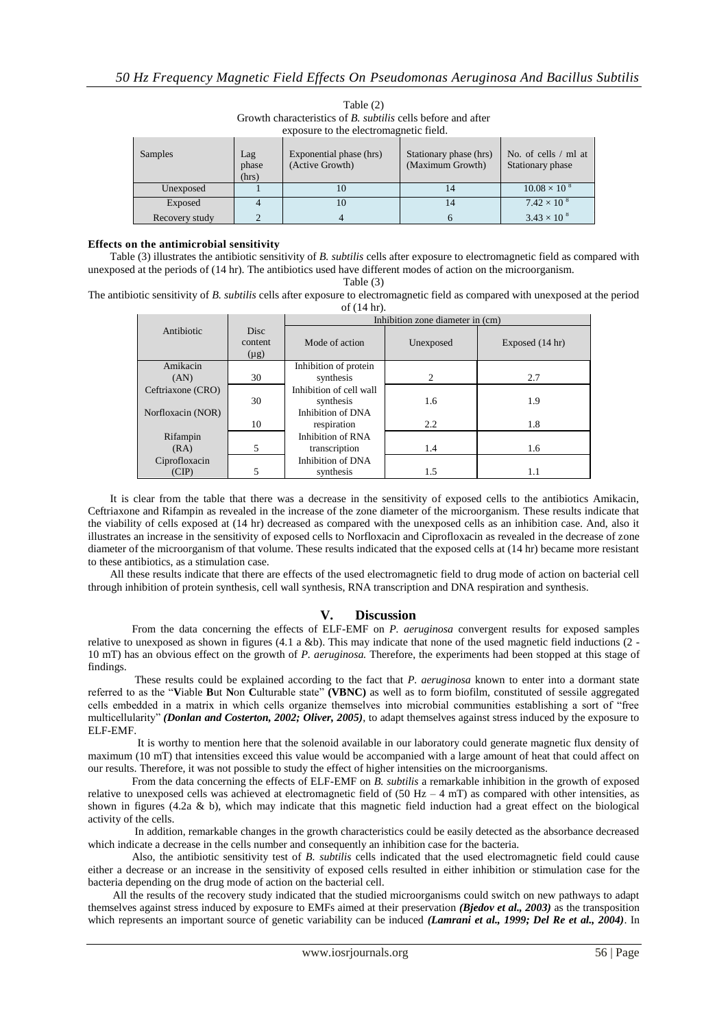| exposure to the electromagnetic field. |                       |                                            |                                            |                                          |
|----------------------------------------|-----------------------|--------------------------------------------|--------------------------------------------|------------------------------------------|
| Samples                                | Lag<br>phase<br>(hrs) | Exponential phase (hrs)<br>(Active Growth) | Stationary phase (hrs)<br>(Maximum Growth) | No. of cells / ml at<br>Stationary phase |
| Unexposed                              |                       | 10                                         | 14                                         | $10.08 \times 10^{-8}$                   |
| Exposed                                | 4                     | 10                                         | 14                                         | $7.42 \times 10^{-8}$                    |
| Recovery study                         | $\gamma$              |                                            | 6                                          | $3.43 \times 10^{-8}$                    |

Table (2) Growth characteristics of *B. subtilis* cells before and after

## **Effects on the antimicrobial sensitivity**

 Table (3) illustrates the antibiotic sensitivity of *B. subtilis* cells after exposure to electromagnetic field as compared with unexposed at the periods of (14 hr). The antibiotics used have different modes of action on the microorganism.

Table (3)

The antibiotic sensitivity of *B. subtilis* cells after exposure to electromagnetic field as compared with unexposed at the period of  $(14 \text{ hr})$ .

|                   |                                     | 0111117                          |                |                 |
|-------------------|-------------------------------------|----------------------------------|----------------|-----------------|
|                   |                                     | Inhibition zone diameter in (cm) |                |                 |
| Antibiotic        | <b>Disc</b><br>content<br>$(\mu g)$ | Mode of action                   | Unexposed      | Exposed (14 hr) |
| Amikacin          |                                     | Inhibition of protein            |                |                 |
| (AN)              | 30                                  | synthesis                        | $\mathfrak{D}$ | 2.7             |
| Ceftriaxone (CRO) |                                     | Inhibition of cell wall          |                |                 |
|                   | 30                                  | synthesis                        | 1.6            | 1.9             |
| Norfloxacin (NOR) |                                     | Inhibition of DNA                |                |                 |
|                   | 10                                  | respiration                      | 2.2            | 1.8             |
| Rifampin          |                                     | Inhibition of RNA                |                |                 |
| (RA)              |                                     | transcription                    | 1.4            | 1.6             |
| Ciprofloxacin     |                                     | Inhibition of DNA                |                |                 |
| (CIP)             |                                     | synthesis                        | 1.5            | 1.1             |

 It is clear from the table that there was a decrease in the sensitivity of exposed cells to the antibiotics Amikacin, Ceftriaxone and Rifampin as revealed in the increase of the zone diameter of the microorganism. These results indicate that the viability of cells exposed at (14 hr) decreased as compared with the unexposed cells as an inhibition case. And, also it illustrates an increase in the sensitivity of exposed cells to Norfloxacin and Ciprofloxacin as revealed in the decrease of zone diameter of the microorganism of that volume. These results indicated that the exposed cells at (14 hr) became more resistant to these antibiotics, as a stimulation case.

 All these results indicate that there are effects of the used electromagnetic field to drug mode of action on bacterial cell through inhibition of protein synthesis, cell wall synthesis, RNA transcription and DNA respiration and synthesis.

## **V. Discussion**

 From the data concerning the effects of ELF-EMF on *P. aeruginosa* convergent results for exposed samples relative to unexposed as shown in figures (4.1 a &b). This may indicate that none of the used magnetic field inductions (2 -10 mT) has an obvious effect on the growth of *P. aeruginosa.* Therefore, the experiments had been stopped at this stage of findings.

 These results could be explained according to the fact that *P. aeruginosa* known to enter into a dormant state referred to as the "**V**iable **B**ut **N**on **C**ulturable state" **(VBNC)** as well as to form biofilm, constituted of sessile aggregated cells embedded in a matrix in which cells organize themselves into microbial communities establishing a sort of "free multicellularity" *(Donlan and Costerton, 2002; Oliver, 2005)*, to adapt themselves against stress induced by the exposure to ELF-EMF.

 It is worthy to mention here that the solenoid available in our laboratory could generate magnetic flux density of maximum (10 mT) that intensities exceed this value would be accompanied with a large amount of heat that could affect on our results. Therefore, it was not possible to study the effect of higher intensities on the microorganisms.

 From the data concerning the effects of ELF-EMF on *B. subtilis* a remarkable inhibition in the growth of exposed relative to unexposed cells was achieved at electromagnetic field of  $(50 Hz - 4 mT)$  as compared with other intensities, as shown in figures (4.2a & b), which may indicate that this magnetic field induction had a great effect on the biological activity of the cells.

 In addition, remarkable changes in the growth characteristics could be easily detected as the absorbance decreased which indicate a decrease in the cells number and consequently an inhibition case for the bacteria.

 Also, the antibiotic sensitivity test of *B. subtilis* cells indicated that the used electromagnetic field could cause either a decrease or an increase in the sensitivity of exposed cells resulted in either inhibition or stimulation case for the bacteria depending on the drug mode of action on the bacterial cell.

 All the results of the recovery study indicated that the studied microorganisms could switch on new pathways to adapt themselves against stress induced by exposure to EMFs aimed at their preservation *(Bjedov et al., 2003)* as the transposition which represents an important source of genetic variability can be induced *(Lamrani et al., 1999; Del Re et al., 2004)*. In